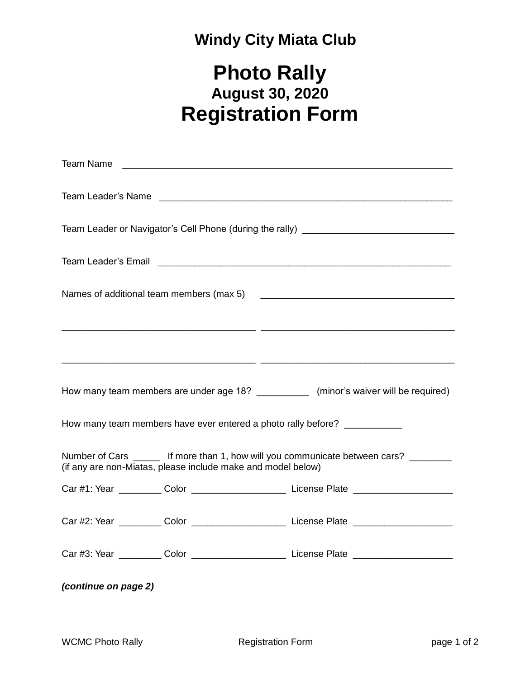## **Windy City Miata Club**

## **Photo Rally August 30, 2020 Registration Form**

| Team Name                                                                                                                                                                                                                      |  |  |  |  |
|--------------------------------------------------------------------------------------------------------------------------------------------------------------------------------------------------------------------------------|--|--|--|--|
| Team Leader's Name Later and Contract and Contract and Contract and Contract and Contract and Contract and Contract and Contract and Contract and Contract and Contract and Contract and Contract and Contract and Contract an |  |  |  |  |
| Team Leader or Navigator's Cell Phone (during the rally) ________________________                                                                                                                                              |  |  |  |  |
|                                                                                                                                                                                                                                |  |  |  |  |
| Names of additional team members (max 5) [14] [2010] [2010] [2010] [2010] [2010] [2010] [2010] [2010] [2010] [                                                                                                                 |  |  |  |  |
|                                                                                                                                                                                                                                |  |  |  |  |
| <u> 1999 - Johann Johann Johann Johann Johann Johann (j. 1989)</u>                                                                                                                                                             |  |  |  |  |
| How many team members are under age 18? _____________ (minor's waiver will be required)                                                                                                                                        |  |  |  |  |
| How many team members have ever entered a photo rally before? ___________                                                                                                                                                      |  |  |  |  |
| Number of Cars ______ If more than 1, how will you communicate between cars? _______<br>(if any are non-Miatas, please include make and model below)                                                                           |  |  |  |  |
| Car #1: Year ___________ Color __________________________ License Plate ___________________________                                                                                                                            |  |  |  |  |
| Car #2: Year ___________ Color ____________________________License Plate __________________________                                                                                                                            |  |  |  |  |
| Car #3: Year ___________ Color ____________________________ License Plate _________________________                                                                                                                            |  |  |  |  |
| (continue on page 2)                                                                                                                                                                                                           |  |  |  |  |